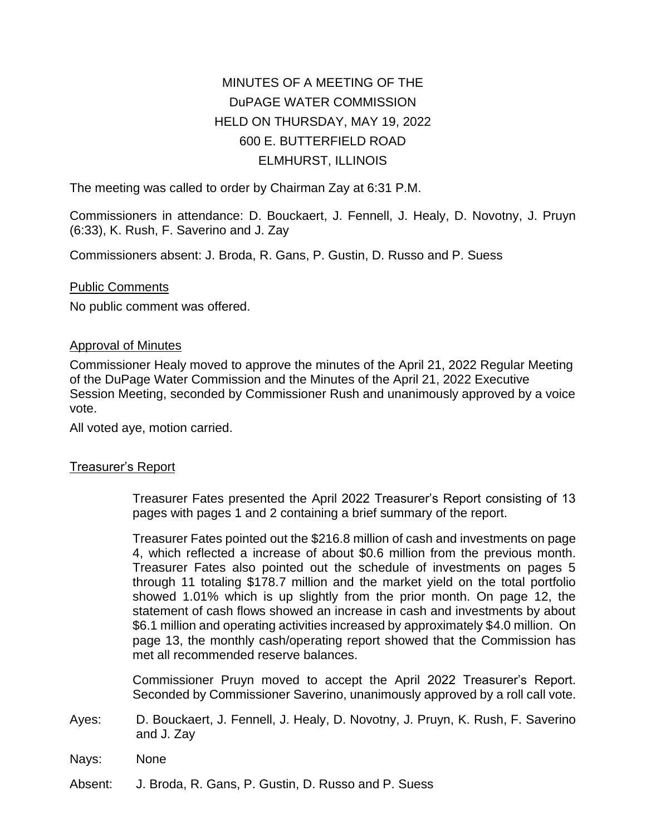# MINUTES OF A MEETING OF THE DuPAGE WATER COMMISSION HELD ON THURSDAY, MAY 19, 2022 600 E. BUTTERFIELD ROAD ELMHURST, ILLINOIS

The meeting was called to order by Chairman Zay at 6:31 P.M.

Commissioners in attendance: D. Bouckaert, J. Fennell, J. Healy, D. Novotny, J. Pruyn (6:33), K. Rush, F. Saverino and J. Zay

Commissioners absent: J. Broda, R. Gans, P. Gustin, D. Russo and P. Suess

## Public Comments

No public comment was offered.

## Approval of Minutes

Commissioner Healy moved to approve the minutes of the April 21, 2022 Regular Meeting of the DuPage Water Commission and the Minutes of the April 21, 2022 Executive Session Meeting, seconded by Commissioner Rush and unanimously approved by a voice vote.

All voted aye, motion carried.

# Treasurer's Report

Treasurer Fates presented the April 2022 Treasurer's Report consisting of 13 pages with pages 1 and 2 containing a brief summary of the report.

Treasurer Fates pointed out the \$216.8 million of cash and investments on page 4, which reflected a increase of about \$0.6 million from the previous month. Treasurer Fates also pointed out the schedule of investments on pages 5 through 11 totaling \$178.7 million and the market yield on the total portfolio showed 1.01% which is up slightly from the prior month. On page 12, the statement of cash flows showed an increase in cash and investments by about \$6.1 million and operating activities increased by approximately \$4.0 million. On page 13, the monthly cash/operating report showed that the Commission has met all recommended reserve balances.

Commissioner Pruyn moved to accept the April 2022 Treasurer's Report. Seconded by Commissioner Saverino, unanimously approved by a roll call vote.

- Ayes: D. Bouckaert, J. Fennell, J. Healy, D. Novotny, J. Pruyn, K. Rush, F. Saverino and J. Zay
- Nays: None
- Absent: J. Broda, R. Gans, P. Gustin, D. Russo and P. Suess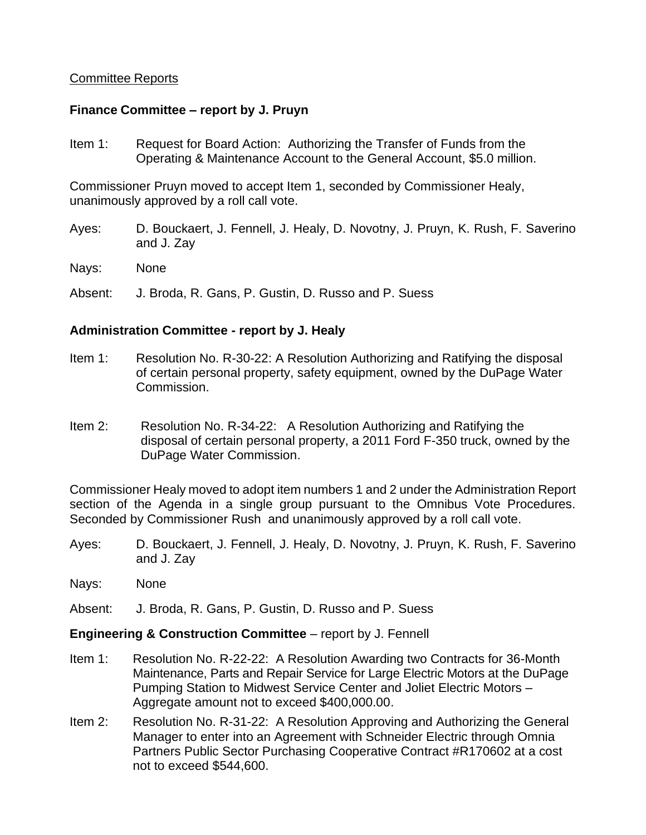# Committee Reports

## **Finance Committee – report by J. Pruyn**

Item 1: Request for Board Action: Authorizing the Transfer of Funds from the Operating & Maintenance Account to the General Account, \$5.0 million.

Commissioner Pruyn moved to accept Item 1, seconded by Commissioner Healy, unanimously approved by a roll call vote.

- Ayes: D. Bouckaert, J. Fennell, J. Healy, D. Novotny, J. Pruyn, K. Rush, F. Saverino and J. Zay
- Nays: None

Absent: J. Broda, R. Gans, P. Gustin, D. Russo and P. Suess

## **Administration Committee - report by J. Healy**

- Item 1: Resolution No. R-30-22: A Resolution Authorizing and Ratifying the disposal of certain personal property, safety equipment, owned by the DuPage Water Commission.
- Item 2: Resolution No. R-34-22: A Resolution Authorizing and Ratifying the disposal of certain personal property, a 2011 Ford F-350 truck, owned by the DuPage Water Commission.

Commissioner Healy moved to adopt item numbers 1 and 2 under the Administration Report section of the Agenda in a single group pursuant to the Omnibus Vote Procedures. Seconded by Commissioner Rush and unanimously approved by a roll call vote.

- Ayes: D. Bouckaert, J. Fennell, J. Healy, D. Novotny, J. Pruyn, K. Rush, F. Saverino and J. Zay
- Nays: None
- Absent: J. Broda, R. Gans, P. Gustin, D. Russo and P. Suess

# **Engineering & Construction Committee** – report by J. Fennell

- Item 1: Resolution No. R-22-22: A Resolution Awarding two Contracts for 36-Month Maintenance, Parts and Repair Service for Large Electric Motors at the DuPage Pumping Station to Midwest Service Center and Joliet Electric Motors – Aggregate amount not to exceed \$400,000.00.
- Item 2: Resolution No. R-31-22: A Resolution Approving and Authorizing the General Manager to enter into an Agreement with Schneider Electric through Omnia Partners Public Sector Purchasing Cooperative Contract #R170602 at a cost not to exceed \$544,600.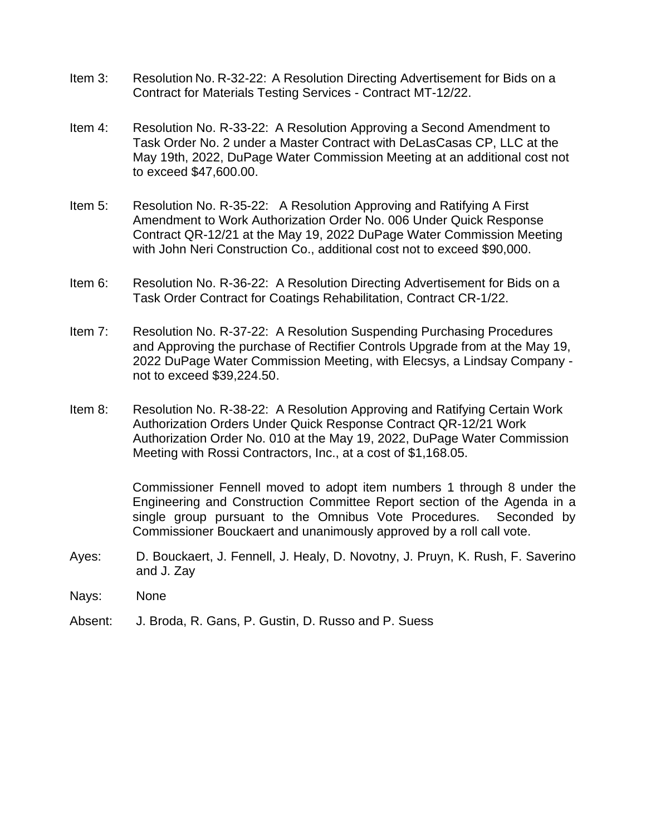- Item 3: Resolution No. R-32-22: A Resolution Directing Advertisement for Bids on a Contract for Materials Testing Services - Contract MT-12/22.
- Item 4: Resolution No. R-33-22: A Resolution Approving a Second Amendment to Task Order No. 2 under a Master Contract with DeLasCasas CP, LLC at the May 19th, 2022, DuPage Water Commission Meeting at an additional cost not to exceed \$47,600.00.
- Item 5: Resolution No. R-35-22: A Resolution Approving and Ratifying A First Amendment to Work Authorization Order No. 006 Under Quick Response Contract QR-12/21 at the May 19, 2022 DuPage Water Commission Meeting with John Neri Construction Co., additional cost not to exceed \$90,000.
- Item 6: Resolution No. R-36-22: A Resolution Directing Advertisement for Bids on a Task Order Contract for Coatings Rehabilitation, Contract CR-1/22.
- Item 7: Resolution No. R-37-22: A Resolution Suspending Purchasing Procedures and Approving the purchase of Rectifier Controls Upgrade from at the May 19, 2022 DuPage Water Commission Meeting, with Elecsys, a Lindsay Company not to exceed \$39,224.50.
- Item 8: Resolution No. R-38-22: A Resolution Approving and Ratifying Certain Work Authorization Orders Under Quick Response Contract QR-12/21 Work Authorization Order No. 010 at the May 19, 2022, DuPage Water Commission Meeting with Rossi Contractors, Inc., at a cost of \$1,168.05.

Commissioner Fennell moved to adopt item numbers 1 through 8 under the Engineering and Construction Committee Report section of the Agenda in a single group pursuant to the Omnibus Vote Procedures. Seconded by Commissioner Bouckaert and unanimously approved by a roll call vote.

- Ayes: D. Bouckaert, J. Fennell, J. Healy, D. Novotny, J. Pruyn, K. Rush, F. Saverino and J. Zay
- Nays: None
- Absent: J. Broda, R. Gans, P. Gustin, D. Russo and P. Suess